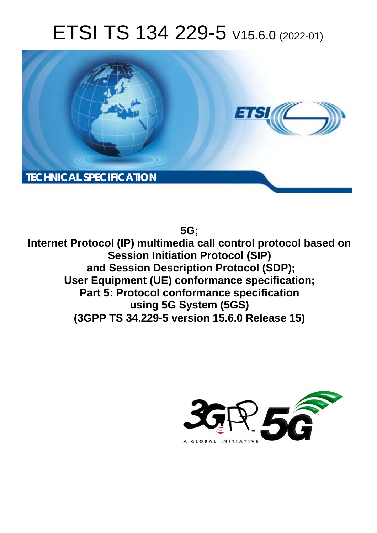# ETSI TS 134 229-5 V15.6.0 (2022-01)



**5G;**

**Internet Protocol (IP) multimedia call control protocol based on Session Initiation Protocol (SIP) and Session Description Protocol (SDP); User Equipment (UE) conformance specification; Part 5: Protocol conformance specification using 5G System (5GS) (3GPP TS 34.229-5 version 15.6.0 Release 15)** 

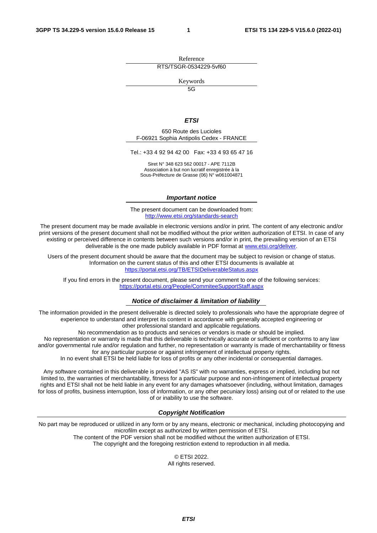Reference RTS/TSGR-0534229-5vf60

Keywords

 $\overline{5G}$ 

#### *ETSI*

650 Route des Lucioles F-06921 Sophia Antipolis Cedex - FRANCE

Tel.: +33 4 92 94 42 00 Fax: +33 4 93 65 47 16

Siret N° 348 623 562 00017 - APE 7112B Association à but non lucratif enregistrée à la Sous-Préfecture de Grasse (06) N° w061004871

#### *Important notice*

The present document can be downloaded from: <http://www.etsi.org/standards-search>

The present document may be made available in electronic versions and/or in print. The content of any electronic and/or print versions of the present document shall not be modified without the prior written authorization of ETSI. In case of any existing or perceived difference in contents between such versions and/or in print, the prevailing version of an ETSI deliverable is the one made publicly available in PDF format at [www.etsi.org/deliver](http://www.etsi.org/deliver).

Users of the present document should be aware that the document may be subject to revision or change of status. Information on the current status of this and other ETSI documents is available at <https://portal.etsi.org/TB/ETSIDeliverableStatus.aspx>

If you find errors in the present document, please send your comment to one of the following services: <https://portal.etsi.org/People/CommiteeSupportStaff.aspx>

#### *Notice of disclaimer & limitation of liability*

The information provided in the present deliverable is directed solely to professionals who have the appropriate degree of experience to understand and interpret its content in accordance with generally accepted engineering or other professional standard and applicable regulations.

No recommendation as to products and services or vendors is made or should be implied.

No representation or warranty is made that this deliverable is technically accurate or sufficient or conforms to any law and/or governmental rule and/or regulation and further, no representation or warranty is made of merchantability or fitness for any particular purpose or against infringement of intellectual property rights.

In no event shall ETSI be held liable for loss of profits or any other incidental or consequential damages.

Any software contained in this deliverable is provided "AS IS" with no warranties, express or implied, including but not limited to, the warranties of merchantability, fitness for a particular purpose and non-infringement of intellectual property rights and ETSI shall not be held liable in any event for any damages whatsoever (including, without limitation, damages for loss of profits, business interruption, loss of information, or any other pecuniary loss) arising out of or related to the use of or inability to use the software.

#### *Copyright Notification*

No part may be reproduced or utilized in any form or by any means, electronic or mechanical, including photocopying and microfilm except as authorized by written permission of ETSI. The content of the PDF version shall not be modified without the written authorization of ETSI.

The copyright and the foregoing restriction extend to reproduction in all media.

© ETSI 2022. All rights reserved.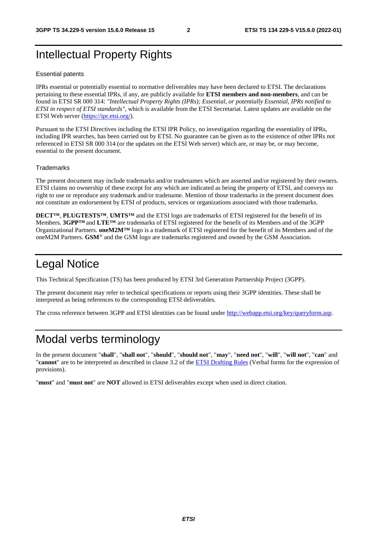## Intellectual Property Rights

#### Essential patents

IPRs essential or potentially essential to normative deliverables may have been declared to ETSI. The declarations pertaining to these essential IPRs, if any, are publicly available for **ETSI members and non-members**, and can be found in ETSI SR 000 314: *"Intellectual Property Rights (IPRs); Essential, or potentially Essential, IPRs notified to ETSI in respect of ETSI standards"*, which is available from the ETSI Secretariat. Latest updates are available on the ETSI Web server ([https://ipr.etsi.org/\)](https://ipr.etsi.org/).

Pursuant to the ETSI Directives including the ETSI IPR Policy, no investigation regarding the essentiality of IPRs, including IPR searches, has been carried out by ETSI. No guarantee can be given as to the existence of other IPRs not referenced in ETSI SR 000 314 (or the updates on the ETSI Web server) which are, or may be, or may become, essential to the present document.

#### **Trademarks**

The present document may include trademarks and/or tradenames which are asserted and/or registered by their owners. ETSI claims no ownership of these except for any which are indicated as being the property of ETSI, and conveys no right to use or reproduce any trademark and/or tradename. Mention of those trademarks in the present document does not constitute an endorsement by ETSI of products, services or organizations associated with those trademarks.

**DECT™**, **PLUGTESTS™**, **UMTS™** and the ETSI logo are trademarks of ETSI registered for the benefit of its Members. **3GPP™** and **LTE™** are trademarks of ETSI registered for the benefit of its Members and of the 3GPP Organizational Partners. **oneM2M™** logo is a trademark of ETSI registered for the benefit of its Members and of the oneM2M Partners. **GSM**® and the GSM logo are trademarks registered and owned by the GSM Association.

### Legal Notice

This Technical Specification (TS) has been produced by ETSI 3rd Generation Partnership Project (3GPP).

The present document may refer to technical specifications or reports using their 3GPP identities. These shall be interpreted as being references to the corresponding ETSI deliverables.

The cross reference between 3GPP and ETSI identities can be found under<http://webapp.etsi.org/key/queryform.asp>.

#### Modal verbs terminology

In the present document "**shall**", "**shall not**", "**should**", "**should not**", "**may**", "**need not**", "**will**", "**will not**", "**can**" and "**cannot**" are to be interpreted as described in clause 3.2 of the [ETSI Drafting Rules](https://portal.etsi.org/Services/editHelp!/Howtostart/ETSIDraftingRules.aspx) (Verbal forms for the expression of provisions).

"**must**" and "**must not**" are **NOT** allowed in ETSI deliverables except when used in direct citation.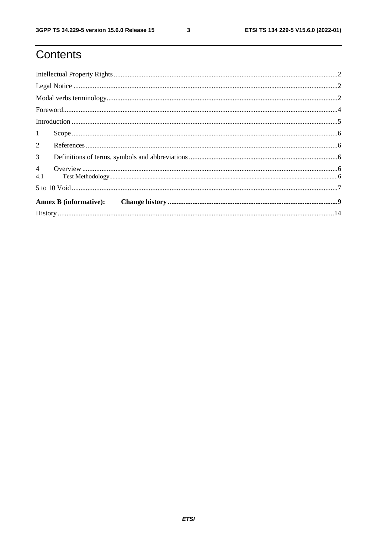$\mathbf{3}$ 

# Contents

| $\textbf{For} \textit{word} \textit{} \textit{} \textit{} \textit{} \textit{} \textit{} \textit{} \textit{} \textit{} \textit{} \textit{} \textit{} \textit{} \textit{} \textit{} \textit{} \textit{} \textit{} \textit{} \textit{} \textit{} \textit{} \textit{} \textit{} \textit{} \textit{} \textit{} \textit{} \textit{} \textit{} \textit{} \textit{} \textit{} \textit{} \textit{$ |  |
|-------------------------------------------------------------------------------------------------------------------------------------------------------------------------------------------------------------------------------------------------------------------------------------------------------------------------------------------------------------------------------------------|--|
|                                                                                                                                                                                                                                                                                                                                                                                           |  |
| 1                                                                                                                                                                                                                                                                                                                                                                                         |  |
| $\overline{2}$                                                                                                                                                                                                                                                                                                                                                                            |  |
| 3 <sup>7</sup>                                                                                                                                                                                                                                                                                                                                                                            |  |
|                                                                                                                                                                                                                                                                                                                                                                                           |  |
|                                                                                                                                                                                                                                                                                                                                                                                           |  |
|                                                                                                                                                                                                                                                                                                                                                                                           |  |
|                                                                                                                                                                                                                                                                                                                                                                                           |  |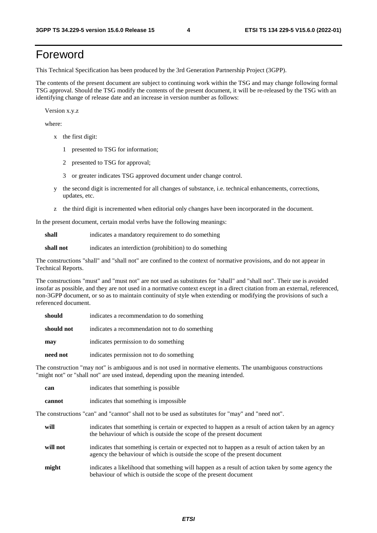# Foreword

This Technical Specification has been produced by the 3rd Generation Partnership Project (3GPP).

The contents of the present document are subject to continuing work within the TSG and may change following formal TSG approval. Should the TSG modify the contents of the present document, it will be re-released by the TSG with an identifying change of release date and an increase in version number as follows:

Version x.y.z

where:

- x the first digit:
	- 1 presented to TSG for information;
	- 2 presented to TSG for approval;
	- 3 or greater indicates TSG approved document under change control.
- y the second digit is incremented for all changes of substance, i.e. technical enhancements, corrections, updates, etc.
- z the third digit is incremented when editorial only changes have been incorporated in the document.

In the present document, certain modal verbs have the following meanings:

**shall** indicates a mandatory requirement to do something

**shall not** indicates an interdiction (prohibition) to do something

The constructions "shall" and "shall not" are confined to the context of normative provisions, and do not appear in Technical Reports.

The constructions "must" and "must not" are not used as substitutes for "shall" and "shall not". Their use is avoided insofar as possible, and they are not used in a normative context except in a direct citation from an external, referenced, non-3GPP document, or so as to maintain continuity of style when extending or modifying the provisions of such a referenced document.

| should     | indicates a recommendation to do something     |
|------------|------------------------------------------------|
| should not | indicates a recommendation not to do something |
| may        | indicates permission to do something           |
| need not   | indicates permission not to do something       |

The construction "may not" is ambiguous and is not used in normative elements. The unambiguous constructions "might not" or "shall not" are used instead, depending upon the meaning intended.

| can    | indicates that something is possible   |
|--------|----------------------------------------|
| cannot | indicates that something is impossible |

The constructions "can" and "cannot" shall not to be used as substitutes for "may" and "need not".

| will     | indicates that something is certain or expected to happen as a result of action taken by an agency<br>the behaviour of which is outside the scope of the present document     |
|----------|-------------------------------------------------------------------------------------------------------------------------------------------------------------------------------|
| will not | indicates that something is certain or expected not to happen as a result of action taken by an<br>agency the behaviour of which is outside the scope of the present document |
| might    | indicates a likelihood that something will happen as a result of action taken by some agency the<br>behaviour of which is outside the scope of the present document           |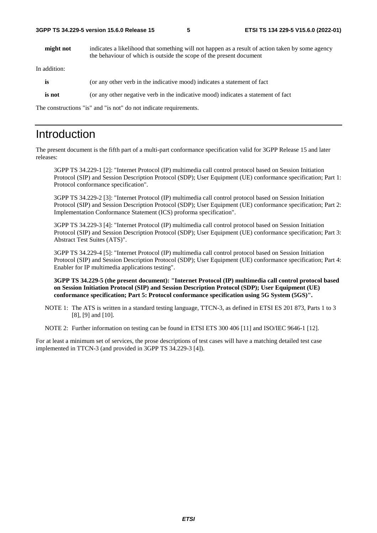**might not** indicates a likelihood that something will not happen as a result of action taken by some agency the behaviour of which is outside the scope of the present document

In addition:

| is     | (or any other verb in the indicative mood) indicates a statement of fact          |
|--------|-----------------------------------------------------------------------------------|
| is not | (or any other negative verb in the indicative mood) indicates a statement of fact |
|        |                                                                                   |

The constructions "is" and "is not" do not indicate requirements.

### Introduction

The present document is the fifth part of a multi-part conformance specification valid for 3GPP Release 15 and later releases:

3GPP TS 34.229-1 [2]: "Internet Protocol (IP) multimedia call control protocol based on Session Initiation Protocol (SIP) and Session Description Protocol (SDP); User Equipment (UE) conformance specification; Part 1: Protocol conformance specification".

 3GPP TS 34.229-2 [3]: "Internet Protocol (IP) multimedia call control protocol based on Session Initiation Protocol (SIP) and Session Description Protocol (SDP); User Equipment (UE) conformance specification; Part 2: Implementation Conformance Statement (ICS) proforma specification".

 3GPP TS 34.229-3 [4]: "Internet Protocol (IP) multimedia call control protocol based on Session Initiation Protocol (SIP) and Session Description Protocol (SDP); User Equipment (UE) conformance specification; Part 3: Abstract Test Suites (ATS)".

 3GPP TS 34.229-4 [5]: "Internet Protocol (IP) multimedia call control protocol based on Session Initiation Protocol (SIP) and Session Description Protocol (SDP); User Equipment (UE) conformance specification; Part 4: Enabler for IP multimedia applications testing".

**3GPP TS 34.229-5 (the present document): "Internet Protocol (IP) multimedia call control protocol based on Session Initiation Protocol (SIP) and Session Description Protocol (SDP); User Equipment (UE) conformance specification; Part 5: Protocol conformance specification using 5G System (5GS)".** 

NOTE 1: The ATS is written in a standard testing language, TTCN-3, as defined in ETSI ES 201 873, Parts 1 to 3 [8], [9] and [10].

NOTE 2: Further information on testing can be found in ETSI ETS 300 406 [11] and ISO/IEC 9646-1 [12].

For at least a minimum set of services, the prose descriptions of test cases will have a matching detailed test case implemented in TTCN-3 (and provided in 3GPP TS 34.229-3 [4]).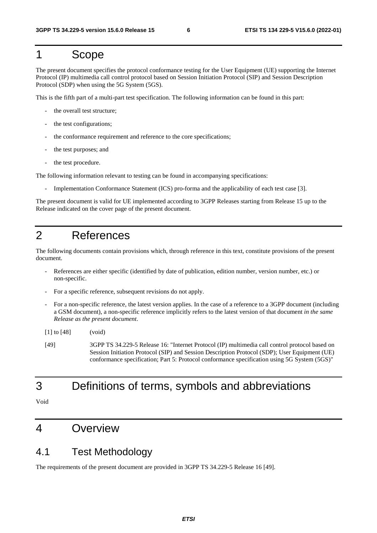#### 1 Scope

The present document specifies the protocol conformance testing for the User Equipment (UE) supporting the Internet Protocol (IP) multimedia call control protocol based on Session Initiation Protocol (SIP) and Session Description Protocol (SDP) when using the 5G System (5GS).

This is the fifth part of a multi-part test specification. The following information can be found in this part:

- the overall test structure;
- the test configurations;
- the conformance requirement and reference to the core specifications:
- the test purposes; and
- the test procedure.

The following information relevant to testing can be found in accompanying specifications:

Implementation Conformance Statement (ICS) pro-forma and the applicability of each test case [3].

The present document is valid for UE implemented according to 3GPP Releases starting from Release 15 up to the Release indicated on the cover page of the present document.

#### 2 References

The following documents contain provisions which, through reference in this text, constitute provisions of the present document.

- References are either specific (identified by date of publication, edition number, version number, etc.) or non-specific.
- For a specific reference, subsequent revisions do not apply.
- For a non-specific reference, the latest version applies. In the case of a reference to a 3GPP document (including a GSM document), a non-specific reference implicitly refers to the latest version of that document *in the same Release as the present document*.
- [1] to [48] (void)
- [49] 3GPP TS 34.229-5 Release 16: "Internet Protocol (IP) multimedia call control protocol based on Session Initiation Protocol (SIP) and Session Description Protocol (SDP); User Equipment (UE) conformance specification; Part 5: Protocol conformance specification using 5G System (5GS)"

### 3 Definitions of terms, symbols and abbreviations

Void

#### 4 Overview

#### 4.1 Test Methodology

The requirements of the present document are provided in 3GPP TS 34.229-5 Release 16 [49].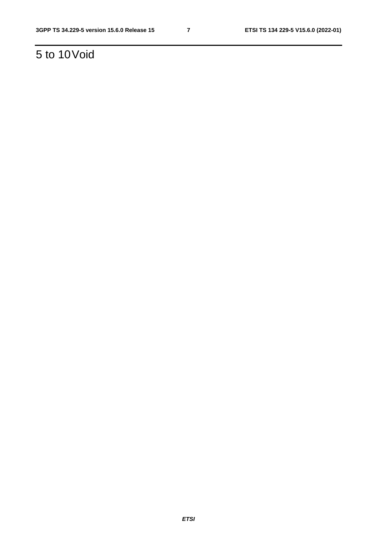# 5 to 10 Void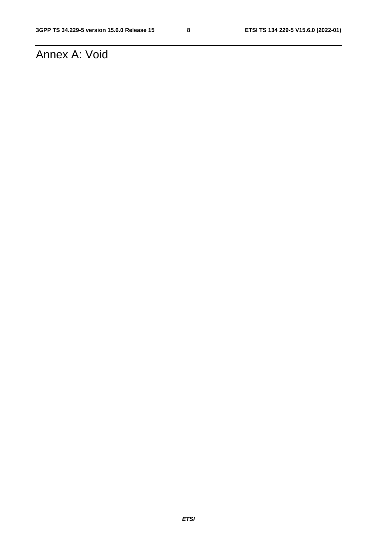# Annex A: Void

*ETSI*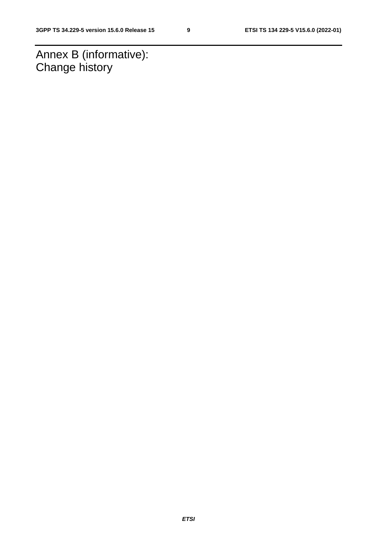Annex B (informative): Change history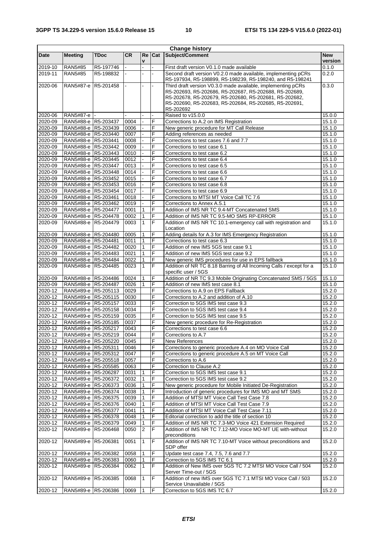| <b>Change history</b> |                                            |             |              |                |            |                                                                                                                                                                                                                                                         |                       |
|-----------------------|--------------------------------------------|-------------|--------------|----------------|------------|---------------------------------------------------------------------------------------------------------------------------------------------------------------------------------------------------------------------------------------------------------|-----------------------|
| <b>Date</b>           | <b>Meeting</b>                             | <b>TDoc</b> | CR.          | <b>Re</b><br>V | <b>Cat</b> | Subject/Comment                                                                                                                                                                                                                                         | <b>New</b><br>version |
| 2019-10               | <b>RAN5#85</b>                             | R5-197746   |              |                |            | First draft version V0.1.0 made available                                                                                                                                                                                                               | 0.1.0                 |
| 2019-11               | <b>RAN5#85</b>                             | R5-198832   |              |                |            | Second draft version V0.2.0 made available, implementing pCRs<br>R5-197934, R5-198899, R5-198239, R5-198240, and R5-198241                                                                                                                              | 0.2.0                 |
| 2020-06               | RAN5#87-e R5-201458                        |             |              |                |            | Third draft version V0.3.0 made available, implementing pCRs<br>R5-202693, R5-202686, R5-202687, R5-202688, R5-202689,<br>R5-202678, R5-202679, R5-202680, R5-202681, R5-202682,<br>R5-202690, R5-202683, R5-202684, R5-202685, R5-202691,<br>R5-202692 | 0.3.0                 |
| 2020-06               | RAN5#87-e                                  |             |              |                |            | Raised to v15.0.0                                                                                                                                                                                                                                       | 15.0.0                |
| 2020-09               | RAN5#88-e R5-203437                        |             | 0004         |                | F          | Corrections to A.2 on IMS Registration                                                                                                                                                                                                                  | 15.1.0                |
| 2020-09               | RAN5#88-e R5-203439                        |             | 0006         |                | F          | New generic procedure for MT Call Release                                                                                                                                                                                                               | 15.1.0                |
| 2020-09               | RAN5#88-e R5-203440                        |             | 0007         |                | F          | Adding references as needed                                                                                                                                                                                                                             | 15.1.0                |
| 2020-09               | RAN5#88-e R5-203441                        |             | 0008         |                | F          | Corrections to test cases 7.6 and 7.7                                                                                                                                                                                                                   | 15.1.0                |
| 2020-09               | RAN5#88-e R5-203442                        |             | 0009         |                | F          | Corrections to test case 6.1                                                                                                                                                                                                                            | 15.1.0                |
| 2020-09               | RAN5#88-e R5-203443                        |             | 0010         |                | F          | Corrections to test case 6.2                                                                                                                                                                                                                            | 15.1.0                |
| 2020-09               | RAN5#88-e R5-203445                        |             | 0012         |                | F          | Corrections to test case 6.4                                                                                                                                                                                                                            | 15.1.0                |
| 2020-09               | RAN5#88-e R5-203447                        |             | 0013<br>0014 |                | F<br>F     | Corrections to test case 6.5                                                                                                                                                                                                                            | 15.1.0                |
| 2020-09<br>2020-09    | RAN5#88-e R5-203448<br>RAN5#88-e R5-203452 |             | 0015         |                | F          | Corrections to test case 6.6<br>Corrections to test case 6.7                                                                                                                                                                                            | 15.1.0<br>15.1.0      |
| 2020-09               | RAN5#88-e R5-203453                        |             | 0016         |                | F          | Corrections to test case 6.8                                                                                                                                                                                                                            | 15.1.0                |
| 2020-09               | RAN5#88-e R5-203454                        |             | 0017         |                | F          | Corrections to test case 6.9                                                                                                                                                                                                                            | 15.1.0                |
| 2020-09               | RAN5#88-e R5-203461                        |             | 0018         |                | F          | Corrections to MTSI MT Voice Call TC 7.6                                                                                                                                                                                                                | 15.1.0                |
| 2020-09               | RAN5#88-e R5-203462                        |             | 0019         |                | F          | Corrections to Annex A.5.1                                                                                                                                                                                                                              | 15.1.0                |
| 2020-09               | RAN5#88-e R5-204477                        |             | 0001         | 1              | F          | Addition of IMS NR TC 9.4-MT Concatenated SMS                                                                                                                                                                                                           | 15.1.0                |
| 2020-09               | RAN5#88-e R5-204478                        |             | 0002         | $\mathbf{1}$   | F          | Addition of IMS NR TC 9.5-MO SMS RP-ERROR                                                                                                                                                                                                               | 15.1.0                |
| 2020-09               | RAN5#88-e R5-204479                        |             | 0003         | $\mathbf{1}$   | F          | Addition of IMS NR TC 10.1-emergency call with registration and<br>Location                                                                                                                                                                             | 15.1.0                |
| 2020-09               | RAN5#88-e R5-204480                        |             | 0005         | 1              | F          | Adding details for A.3 for IMS Emergency Registration                                                                                                                                                                                                   | 15.1.0                |
| 2020-09               | RAN5#88-e R5-204481                        |             | 0011         | $\mathbf{1}$   | F          | Corrections to test case 6.3                                                                                                                                                                                                                            | 15.1.0                |
| 2020-09               | RAN5#88-e R5-204482                        |             | 0020         | $\mathbf{1}$   | F          | Addition of new IMS 5GS test case 9.1                                                                                                                                                                                                                   | 15.1.0                |
| 2020-09               | RAN5#88-e R5-204483                        |             | 0021         | $\mathbf{1}$   | F          | Addition of new IMS 5GS test case 9.2                                                                                                                                                                                                                   | 15.1.0                |
| 2020-09               | RAN5#88-e R5-204484                        |             | 0022         | $\mathbf{1}$   | F          | New generic IMS procedures for use in EPS fallback                                                                                                                                                                                                      | 15.1.0                |
| 2020-09               | RAN5#88-e R5-204485                        |             | 0023         | $\mathbf{1}$   | F          | Addition of NR TC 8.18 Barring of All Incoming Calls / except for a<br>specific user / 5GS                                                                                                                                                              | 15.1.0                |
| 2020-09               | RAN5#88-e R5-204486                        |             | 0024         | 1              | F          | Addition of NR TC 9.3 Mobile Originating Concatenated SMS / 5GS                                                                                                                                                                                         | 15.1.0                |
| 2020-09               | RAN5#88-e R5-204487                        |             | 0026         | $\mathbf{1}$   | F          | Addition of new IMS test case 8.1                                                                                                                                                                                                                       | 15.1.0                |
| 2020-12               | RAN5#89-e R5-205113                        |             | 0029         |                | F<br>F     | Corrections to A.9 on EPS Fallback<br>Corrections to A.2 and addition of A.10                                                                                                                                                                           | 15.2.0<br>15.2.0      |
| 2020-12<br>2020-12    | RAN5#89-e R5-205115<br>RAN5#89-e R5-205157 |             | 0030<br>0033 |                | F          | Correction to 5GS IMS test case 9.3                                                                                                                                                                                                                     | 15.2.0                |
| 2020-12               | RAN5#89-e R5-205158                        |             | 0034         |                | F          | Correction to 5GS IMS test case 9.4                                                                                                                                                                                                                     | 15.2.0                |
| 2020-12               | RAN5#89-e R5-205159                        |             | 0035         |                | F          | Correction to 5GS IMS test case 9.5                                                                                                                                                                                                                     | 15.2.0                |
| 2020-12               | RAN5#89-e R5-205185                        |             | 0037         |                | F          | New generic procedure for Re-Registration                                                                                                                                                                                                               | 15.2.0                |
| 2020-12               | RAN5#89-e R5-205217                        |             | 0043         |                | E          | Corrections to test case 6.6                                                                                                                                                                                                                            | 15.2.0                |
| $2020 - 12$           | RAN5#89-e R5-205219                        |             | 0044         |                | F          | Corrections to A.7                                                                                                                                                                                                                                      | 15.2.0                |
| 2020-12               | RAN5#89-e R5-205220                        |             | 0045         |                | F          | <b>New References</b>                                                                                                                                                                                                                                   | 15.2.0                |
| 2020-12               | RAN5#89-e R5-205311                        |             | 0046         |                | F          | Corrections to generic procedure A.4 on MO Voice Call                                                                                                                                                                                                   | 15.2.0                |
| 2020-12               | RAN5#89-e R5-205312                        |             | 0047         |                | F          | Corrections to generic procedure A.5 on MT Voice Call                                                                                                                                                                                                   | 15.2.0                |
| 2020-12               | RAN5#89-e R5-205518                        |             | 0057         |                | F          | Corrections to A.6                                                                                                                                                                                                                                      | 15.2.0                |
| 2020-12               | RAN5#89-e R5-205585                        |             | 0063         |                | F          | Correction to Clause A.2                                                                                                                                                                                                                                | 15.2.0                |
| 2020-12               | RAN5#89-e R5-206287                        |             | 0031         | 1              | F<br>F     | Correction to 5GS IMS test case 9.1                                                                                                                                                                                                                     | 15.2.0                |
| 2020-12<br>2020-12    | RAN5#89-e R5-206372<br>RAN5#89-e R5-206373 |             | 0032<br>0036 | 1<br>1         | F          | Correction to 5GS IMS test case 9.2<br>New generic procedure for Mobile Initiated De-Registration                                                                                                                                                       | 15.2.0<br>15.2.0      |
| 2020-12               | RAN5#89-e R5-206374                        |             | 0038         | 1              | F          | Introduction of generic procedures for IMS MO and MT SMS                                                                                                                                                                                                | 15.2.0                |
| 2020-12               | RAN5#89-e R5-206375                        |             | 0039         | 1              | F          | Addition of MTSI MT Voice Call Test Case 7.8                                                                                                                                                                                                            | 15.2.0                |
| 2020-12               | RAN5#89-e R5-206376                        |             | 0040         | 1              | F          | Addition of MTSI MT Voice Call Test Case 7.9                                                                                                                                                                                                            | 15.2.0                |
| 2020-12               | RAN5#89-e R5-206377                        |             | 0041         | 1              | F          | Addition of MTSI MT Voice Call Test Case 7.11                                                                                                                                                                                                           | 15.2.0                |
| 2020-12               | RAN5#89-e R5-206378                        |             | 0048         | $\mathbf{1}$   | F          | Editorial correction to add the title of section 10                                                                                                                                                                                                     | 15.2.0                |
| 2020-12               | RAN5#89-e R5-206379                        |             | 0049         | 1              | F          | Addition of IMS NR TC 7.3-MO Voice 421 Extension Required                                                                                                                                                                                               | 15.2.0                |
| 2020-12               | RAN5#89-e R5-206468                        |             | 0050         | $\overline{2}$ | F          | Addition of IMS NR TC 7.12-MO Voice MO-MT UE with-without<br>preconditions                                                                                                                                                                              | 15.2.0                |
| 2020-12               | RAN5#89-e R5-206381                        |             | 0051         | 1              | F          | Addition of IMS NR TC 7.10-MT Voice without preconditions and<br>SDP offer                                                                                                                                                                              | 15.2.0                |
| 2020-12               | RAN5#89-e R5-206382                        |             | 0058         | 1              | F          | Update test case 7.4, 7.5, 7.6 and 7.7                                                                                                                                                                                                                  | 15.2.0                |
| 2020-12               | RAN5#89-e R5-206383                        |             | 0060         | 1              | F          | Correction to 5GS IMS TC 6.1                                                                                                                                                                                                                            | 15.2.0                |
| 2020-12               | RAN5#89-e R5-206384                        |             | 0062         | $\mathbf{1}$   | F          | Addition of New IMS over 5GS TC 7.2 MTSI MO Voice Call / 504<br>Server Time-out / 5GS                                                                                                                                                                   | 15.2.0                |
| 2020-12               | RAN5#89-e R5-206385                        |             | 0068         | 1              | E          | Addition of new IMS over 5GS TC 7.1 MTSI MO Voice Call / 503<br>Service Unavailable / 5GS                                                                                                                                                               | 15.2.0                |
| $2020 - 12$           | RAN5#89-e R5-206386                        |             | 0069         |                | F          | Correction to 5GS IMS TC 6.7                                                                                                                                                                                                                            | 15.2.0                |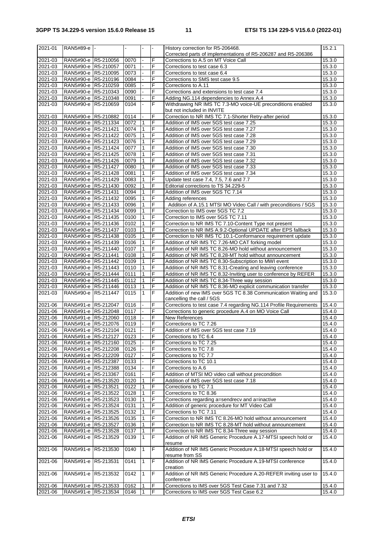| 2021-01     | RAN5#89-e           |           |      |                |   | History correction for R5-206468.                                  | 15.2.1 |
|-------------|---------------------|-----------|------|----------------|---|--------------------------------------------------------------------|--------|
|             |                     |           |      |                |   | Corrected parts of implementations of R5-206287 and R5-206386      |        |
| 2021-03     | RAN5#90-e R5-210056 |           | 0070 |                | F | Corrections to A.5 on MT Voice Call                                | 15.3.0 |
|             |                     |           |      |                |   |                                                                    |        |
| 2021-03     | RAN5#90-e R5-210057 |           | 0071 |                | F | Corrections to test case 6.3                                       | 15.3.0 |
| 2021-03     | RAN5#90-e R5-210095 |           | 0073 |                | F | Corrections to test case 6.4                                       | 15.3.0 |
| 2021-03     | RAN5#90-e R5-210196 |           | 0084 |                | F | Corrections to SMS test case 9.5                                   | 15.3.0 |
| 2021-03     | RAN5#90-e R5-210259 |           | 0085 | L.             | F | Corrections to A.11                                                | 15.3.0 |
|             |                     |           |      |                | F |                                                                    |        |
| 2021-03     | RAN5#90-e R5-210343 |           | 0090 |                |   | Corrections and extensions to test case 7.4                        | 15.3.0 |
| 2021-03     | RAN5#90-e R5-210348 |           | 0091 |                | F | Adding NG.114 dependencies to Annex A.4                            | 15.3.0 |
| 2021-03     | RAN5#90-e           | R5-210659 | 0104 | $\blacksquare$ | F | Withdrawing NR IMS TC 7.3-MO voice-UE preconditions enabled        | 15.3.0 |
|             |                     |           |      |                |   | but not included in INVITE                                         |        |
|             |                     |           |      |                |   |                                                                    |        |
| 2021-03     | RAN5#90-e R5-210882 |           | 0114 |                | F | Correction to NR IMS TC 7.1-Shorter Retry-after period             | 15.3.0 |
| 2021-03     | RAN5#90-e R5-211334 |           | 0072 | $\mathbf{1}$   | F | Addition of IMS over 5GS test case 7.25                            | 15.3.0 |
| 2021-03     | RAN5#90-e R5-211421 |           | 0074 | $\mathbf{1}$   | F | Addition of IMS over 5GS test case 7.27                            | 15.3.0 |
| 2021-03     | RAN5#90-e R5-211422 |           | 0075 | $\mathbf{1}$   | F | Addition of IMS over 5GS test case 7.28                            | 15.3.0 |
|             |                     |           |      |                |   |                                                                    |        |
| 2021-03     | RAN5#90-e R5-211423 |           | 0076 | $\mathbf{1}$   | F | Addition of IMS over 5GS test case 7.29                            | 15.3.0 |
| 2021-03     | RAN5#90-e R5-211424 |           | 0077 | $\mathbf{1}$   | F | Addition of IMS over 5GS test case 7.30                            | 15.3.0 |
| $2021 - 03$ | RAN5#90-e R5-211425 |           | 0078 | $\mathbf{1}$   | F | Addition of IMS over 5GS test case 7.31                            | 15.3.0 |
| 2021-03     | RAN5#90-e R5-211426 |           | 0079 | $\mathbf{1}$   | F | Addition of IMS over 5GS test case 7.32                            | 15.3.0 |
|             |                     |           |      |                |   |                                                                    |        |
| 2021-03     | RAN5#90-e R5-211427 |           | 0080 | $\mathbf{1}$   | F | Addition of IMS over 5GS test case 7.33                            | 15.3.0 |
| $2021 - 03$ | RAN5#90-e R5-211428 |           | 0081 | $\mathbf{1}$   | F | Addition of IMS over 5GS test case 7.34                            | 15.3.0 |
| 2021-03     | RAN5#90-e R5-211429 |           | 0083 | $\mathbf{1}$   | F | Update test case 7.4, 7.5, 7.6 and 7.7                             | 15.3.0 |
|             |                     |           |      |                |   |                                                                    |        |
| $2021 - 03$ | RAN5#90-e R5-211430 |           | 0092 | $\mathbf{1}$   | F | Editorial corrections to TS 34.229-5                               | 15.3.0 |
| 2021-03     | RAN5#90-e R5-211431 |           | 0094 | $\mathbf{1}$   | F | Addition of IMS over 5GS TC 7.14                                   | 15.3.0 |
| 2021-03     | RAN5#90-e R5-211432 |           | 0095 | $\mathbf{1}$   | F | Adding references                                                  | 15.3.0 |
| 2021-03     | RAN5#90-e R5-211433 |           | 0096 | 1              | F | Addition of A.15.1 MTSI MO Video Call / with preconditions / 5GS   | 15.3.0 |
|             |                     |           |      |                |   |                                                                    |        |
| 2021-03     | RAN5#90-e R5-211434 |           | 0099 | 1              | F | Correction to IMS over 5GS TC 7.2                                  | 15.3.0 |
| 2021-03     | RAN5#90-e R5-211435 |           | 0100 | $\mathbf{1}$   | F | Correction to IMS over 5GS TC 7.11                                 | 15.3.0 |
| 2021-03     | RAN5#90-e R5-211436 |           | 0102 | $\mathbf{1}$   | F | Correction to NR IMS TC 7.10-Content Type not present              | 15.3.0 |
| 2021-03     | RAN5#90-e R5-211437 |           | 0103 | $\mathbf{1}$   | F | Correction to NR IMS A.9.2-Optional UPDATE after EPS fallback      | 15.3.0 |
|             |                     |           |      |                |   |                                                                    |        |
| 2021-03     | RAN5#90-e R5-211438 |           | 0105 | $\mathbf{1}$   | F | Correction to NR IMS TC 10.1-Conformance requirement update        | 15.3.0 |
| 2021-03     | RAN5#90-e R5-211439 |           | 0106 | $\mathbf{1}$   | F | Addition of NR IMS TC 7.26-MO CAT forking model                    | 15.3.0 |
| 2021-03     | RAN5#90-e R5-211440 |           | 0107 | $\mathbf{1}$   | F | Addition of NR IMS TC 8.26-MO hold without announcement            | 15.3.0 |
|             |                     |           |      |                |   |                                                                    |        |
| 2021-03     | RAN5#90-e R5-211441 |           | 0108 | $\mathbf{1}$   | F | Addition of NR IMS TC 8.28-MT hold without announcement            | 15.3.0 |
| 2021-03     | RAN5#90-e R5-211442 |           | 0109 | $\mathbf{1}$   | F | Addition of NR IMS TC 8.30-Subscription to MWI event               | 15.3.0 |
| 2021-03     | RAN5#90-e R5-211443 |           | 0110 | $\mathbf{1}$   | F | Addition of NR IMS TC 8.31-Creating and leaving conference         | 15.3.0 |
| 2021-03     | RAN5#90-e R5-211444 |           | 0111 | $\mathbf{1}$   | F | Addition of NR IMS TC 8.32-Inviting user to conference by REFER    | 15.3.0 |
|             |                     |           |      |                |   |                                                                    |        |
| 2021-03     | RAN5#90-e R5-211445 |           | 0112 | $\mathbf{1}$   | F | Addition of NR IMS TC 8.34-Three way session                       | 15.3.0 |
| 2021-03     | RAN5#90-e R5-211446 |           | 0113 | 1              | F | Addition of NR IMS TC 8.36-MO explicit communication transfer      | 15.3.0 |
| 2021-03     | RAN5#90-e R5-211447 |           | 0115 | $\mathbf{1}$   | F | Addition of new IMS over 5GS TC 8.38 Communication Waiting and     | 15.3.0 |
|             |                     |           |      |                |   | cancelling the call / 5GS                                          |        |
|             |                     |           |      |                |   |                                                                    |        |
| 2021-06     | RAN5#91-e R5-212047 |           | 0116 |                | F | Corrections to test case 7.4 regarding NG.114 Profile Requirements | 15.4.0 |
| 2021-06     | RAN5#91-e R5-212048 |           | 0117 | L.             | F | Corrections to generic procedure A.4 on MO Voice Call              | 15.4.0 |
| 2021-06     | RAN5#91-e R5-212060 |           | 0118 |                | F | <b>New References</b>                                              | 15.4.0 |
| 2021-06     | RAN5#91-e R5-212076 |           | 0119 |                | F | Corrections to TC 7.26                                             | 15.4.0 |
|             |                     |           |      |                |   |                                                                    |        |
| 2021-06     | RAN5#91-e R5-212104 |           | 0121 |                | F | Addition of IMS over 5GS test case 7.19                            | 15.4.0 |
| 2021-06     | RAN5#91-e R5-212127 |           | 0123 |                | F | Corrections to TC 6.4                                              | 15.4.0 |
| 2021-06     | RAN5#91-e R5-212160 |           | 0125 |                | F | Corrections to TC 7.25                                             | 15.4.0 |
|             |                     |           |      |                |   |                                                                    |        |
| 2021-06     | RAN5#91-e R5-212208 |           | 0126 |                | F | Corrections to TC 7.8                                              | 15.4.0 |
| $2021 - 06$ | RAN5#91-e R5-212209 |           | 0127 |                | F | Corrections to TC 7.7                                              | 15.4.0 |
| 2021-06     | RAN5#91-e R5-212387 |           | 0133 |                | F | Corrections to TC 10.1                                             | 15.4.0 |
| 2021-06     | RAN5#91-e R5-212388 |           | 0134 |                | F | Corrections to A.6                                                 | 15.4.0 |
|             |                     |           |      |                |   |                                                                    |        |
| 2021-06     | RAN5#91-e R5-213367 |           | 0161 |                | F | Addition of MTSI MO video call without precondition                | 15.4.0 |
| 2021-06     | RAN5#91-e R5-213520 |           | 0120 | $\mathbf{1}$   | F | Addition of IMS over 5GS test case 7.18                            | 15.4.0 |
| 2021-06     | RAN5#91-e R5-213521 |           | 0122 | $\mathbf{1}$   | F | Corrections to TC 7.1                                              | 15.4.0 |
| 2021-06     | RAN5#91-e R5-213522 |           | 0128 | 1              | F | Corrections to TC 8.36                                             | 15.4.0 |
|             |                     |           |      |                |   |                                                                    |        |
| 2021-06     | RAN5#91-e R5-213523 |           | 0130 | 1              | F | Corrections regarding a=sendrecv and a=inactive                    | 15.4.0 |
| 2021-06     | RAN5#91-e R5-213524 |           | 0131 | $\mathbf{1}$   | F | Addition of generic procedure for MT Video Call                    | 15.4.0 |
| 2021-06     | RAN5#91-e R5-213525 |           | 0132 | 1              | F | Corrections to TC 7.11                                             | 15.4.0 |
| 2021-06     | RAN5#91-e R5-213526 |           | 0135 | 1              | F | Correction to NR IMS TC 8.26-MO hold without announcement          | 15.4.0 |
|             |                     |           |      |                |   |                                                                    |        |
| 2021-06     | RAN5#91-e R5-213527 |           | 0136 | 1              | F | Correction to NR IMS TC 8.28-MT hold without announcement          | 15.4.0 |
| 2021-06     | RAN5#91-e R5-213528 |           | 0137 | 1              | F | Correction to NR IMS TC 8.34-Three way session                     | 15.4.0 |
| 2021-06     | RAN5#91-e R5-213529 |           | 0139 | $\mathbf{1}$   | F | Addition of NR IMS Generic Procedure A.17-MTSI speech hold or      | 15.4.0 |
|             |                     |           |      |                |   | resume                                                             |        |
|             |                     |           |      |                |   |                                                                    |        |
| 2021-06     |                     |           |      |                |   |                                                                    | 15.4.0 |
|             | RAN5#91-e           | R5-213530 | 0140 | 1              | F | Addition of NR IMS Generic Procedure A.18-MTSI speech hold or      |        |
|             |                     |           |      |                |   | resume from SS                                                     |        |
| 2021-06     | RAN5#91-e           | R5-213531 | 0141 | 1              | F | Addition of NR IMS Generic Procedure A.19-MTSI conference          |        |
|             |                     |           |      |                |   |                                                                    | 15.4.0 |
|             |                     |           |      |                |   | creation                                                           |        |
| 2021-06     | RAN5#91-e           | R5-213532 | 0142 | $\mathbf{1}$   | F | Addition of NR IMS Generic Procedure A.20-REFER inviting user to   | 15.4.0 |
|             |                     |           |      |                |   | conference                                                         |        |
| 2021-06     | RAN5#91-e R5-213533 |           | 0162 | 1              | F | Corrections to IMS over 5GS Test Case 7.31 and 7.32                | 15.4.0 |
| 2021-06     | RAN5#91-e R5-213534 |           | 0146 | $\vert$ 1      | F | Corrections to IMS over 5GS Test Case 6.2                          | 15.4.0 |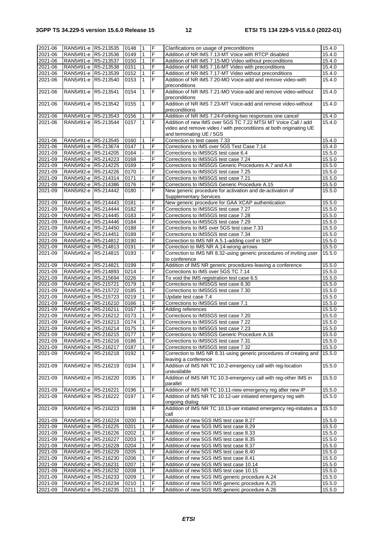| 2021-06            | RAN5#91-e R5-213535                        | 0148              | <u> 1</u>         | F      | Clarifications on usage of preconditions                                                         | 15.4.0           |
|--------------------|--------------------------------------------|-------------------|-------------------|--------|--------------------------------------------------------------------------------------------------|------------------|
| 2021-06            | RAN5#91-e R5-213536                        | 0149              | $\mathbf{1}$      | F      | Addition of NR IMS 7.13-MT Voice with RTCP disabled                                              | 15.4.0           |
|                    |                                            |                   |                   |        |                                                                                                  |                  |
| 2021-06            | RAN5#91-e R5-213537                        | 0150              | 1                 | F      | Addition of NR IMS 7.15-MO Video without preconditions                                           | 15.4.0           |
| 2021-06            | RAN5#91-e R5-213538                        | 0151              | $\mathbf{1}$      | F      | Addition of NR IMS 7.16-MT Video with preconditions                                              | 15.4.0           |
| 2021-06            | RAN5#91-e R5-213539                        | 0152              | $\mathbf{1}$      | F      | Addition of NR IMS 7.17-MT Video without preconditions                                           | 15.4.0           |
| 2021-06            | RAN5#91-e R5-213540                        | 0153              | $\mathbf{1}$      | F      | Addition of NR IMS 7.20-MO Voice-add and remove video-with                                       | 15.4.0           |
|                    |                                            |                   |                   |        | preconditions                                                                                    |                  |
| 2021-06            | RAN5#91-e R5-213541                        | 0154              | 1                 | F      | Addition of NR IMS 7.21-MO Voice-add and remove video-without                                    | 15.4.0           |
|                    |                                            |                   |                   |        | preconditions                                                                                    |                  |
| 2021-06            | RAN5#91-e R5-213542                        | 0155              | $\mathbf{1}$      | F      | Addition of NR IMS 7.23-MT Voice-add and remove video-without                                    | 15.4.0           |
|                    |                                            |                   |                   |        | preconditions                                                                                    |                  |
|                    |                                            |                   |                   |        |                                                                                                  |                  |
| 2021-06            | RAN5#91-e R5-213543                        | 0156              | 1                 | F      | Addition of NR IMS 7.24-Forking-two responses one cancel                                         | 15.4.0           |
| 2021-06            | RAN5#91-e R5-213544                        | 0157              | $\mathbf{1}$      | F      | Addition of new IMS over 5GS TC 7.22 MTSI MT Voice Call / add                                    | 15.4.0           |
|                    |                                            |                   |                   |        | video and remove video / with preconditions at both originating UE                               |                  |
|                    |                                            |                   |                   |        | and terminating UE / 5GS                                                                         |                  |
| 2021-06            | RAN5#91-e R5-213545                        | 0160              | 1                 | F      | Correction to test cases 7.33                                                                    | 15.4.0           |
| 2021-06            | RAN5#91-e R5-213674                        | 0147              | $\mathbf{1}$      | F      | Corrections to IMS over 5GS Test Case 7.14                                                       | 15.4.0           |
| 2021-09            | RAN5#92-e R5-214205                        | 0164              |                   | F      | Corrections to IMS5GS test case 6.4                                                              | 15.5.0           |
| 2021-09            | RAN5#92-e R5-214223                        | 0168              |                   | F      | Corrections to IMS5GS test case 7.24                                                             | 15.5.0           |
|                    |                                            |                   |                   |        |                                                                                                  |                  |
| 2021-09            | RAN5#92-e R5-214225                        | 0169              |                   | F      | Corrections to IMS5GS Generic Procedures A.7 and A.8                                             | 15.5.0           |
| 2021-09            | RAN5#92-e R5-214226                        | 0170              |                   | F      | Corrections to IMS5GS test case 7.25                                                             | 15.5.0           |
| 2021-09            | RAN5#92-e R5-214314                        | 0171              |                   | F      | Corrections to IMS5GS test case 7.21                                                             | 15.5.0           |
| 2021-09            | RAN5#92-e R5-214386                        | 0176              |                   | F      | Corrections to IMS5GS Generic Procedure A.15                                                     | 15.5.0           |
| 2021-09            | RAN5#92-e R5-214442                        | 0180              |                   | F      | New generic procedure for activation and de-activation of                                        | 15.5.0           |
|                    |                                            |                   |                   |        | <b>Supplementary Services</b>                                                                    |                  |
| 2021-09            | RAN5#92-e R5-214443                        | 0181              |                   | F      | New generic procedure for GAA XCAP authentication                                                | 15.5.0           |
| 2021-09            | RAN5#92-e R5-214444                        | 0182              |                   | F      | Corrections to IMS5GS test case 7.27                                                             | 15.5.0           |
|                    |                                            |                   |                   |        |                                                                                                  |                  |
| 2021-09            | RAN5#92-e R5-214445                        | 0183              |                   | F      | Corrections to IMS5GS test case 7.28                                                             | 15.5.0           |
| 2021-09            | RAN5#92-e R5-214446                        | 0184              |                   | F      | Corrections to IMS5GS test case 7.29                                                             | 15.5.0           |
| 2021-09            | RAN5#92-e R5-214450                        | 0188              |                   | F      | Corrections to IMS over 5GS test case 7.33                                                       | 15.5.0           |
| 2021-09            | RAN5#92-e R5-214451                        | 0189              |                   | F      | Corrections to IMS5GS test case 7.34                                                             | 15.5.0           |
| 2021-09            | RAN5#92-e R5-214812                        | 0190              |                   | F      | Correction to IMS NR A.5.1-adding conf in SDP                                                    | 15.5.0           |
| 2021-09            | RAN5#92-e R5-214813                        | 0191              |                   | F      | Correction to IMS NR A.14-wrong arrows                                                           | 15.5.0           |
|                    |                                            |                   |                   |        |                                                                                                  |                  |
| 2021-09            | RAN5#92-e R5-214815                        | 0193              |                   | F      | Correction to IMS NR 8.32-using generic procedures of inviting user                              | 15.5.0           |
|                    |                                            |                   |                   |        | to conference                                                                                    |                  |
| 2021-09            | RAN5#92-e R5-214821                        | 0199              |                   | F      | Addition of IMS NR generic procedures-leaving a conference                                       | 15.5.0           |
| 2021-09            | RAN5#92-e R5-214893                        | $\overline{0}214$ |                   | F      | Corrections to IMS over 5GS TC 7.14                                                              | 15.5.0           |
| 2021-09            | RAN5#92-e R5-215694                        | 0226              |                   | F      | To void the IMS registration test case 6.5                                                       | 15.5.0           |
| 2021-09            | RAN5#92-e R5-215721                        | 0179              | 1                 | F      | Corrections to IMS5GS test case 8.30                                                             | 15.5.0           |
|                    |                                            |                   |                   |        |                                                                                                  |                  |
|                    |                                            |                   |                   |        |                                                                                                  |                  |
| 2021-09            | RAN5#92-e R5-215722                        | 0185              | 1                 | F      | Corrections to IMS5GS test case 7.30                                                             | 15.5.0           |
| 2021-09            | RAN5#92-e R5-215723                        | 0219              | $\mathbf{1}$      | F      | Update test case 7.4                                                                             | 15.5.0           |
| 2021-09            | RAN5#92-e R5-216210                        | 0166              | $\mathbf{1}$      | F      | Corrections to IMS5GS test case 7.1                                                              | 15.5.0           |
| 2021-09            | RAN5#92-e R5-216211                        | 0167              | 1                 | F      | Adding references                                                                                | 15.5.0           |
| 2021-09            | RAN5#92-e R5-216212                        | 0173              | 1                 | F      | Corrections to IMS5GS test case 7.20                                                             | 15.5.0           |
| 2021-09            | RAN5#92-e R5-216213                        | 0174              | $\mathbf{1}$      | F      | Corrections to IMS5GS test case 7.22                                                             | 15.5.0           |
|                    |                                            |                   |                   |        |                                                                                                  |                  |
| 2021-09            | RAN5#92-e R5-216214                        | $0175$ 1          |                   |        | Corrections to IMS5GS test case 7.23                                                             | 15.5.0           |
| 2021-09            | RAN5#92-e R5-216215                        | 0177              | 1                 | F      | Corrections to IMS5GS Generic Procedure A.16                                                     | 15.5.0           |
| 2021-09            | RAN5#92-e R5-216216                        | 0186              | 1                 | F      | Corrections to IMS5GS test case 7.31                                                             | 15.5.0           |
| 2021-09            | RAN5#92-e R5-216217                        | 0187              | 1                 | F      | Corrections to IMS5GS test case 7.32                                                             | 15.5.0           |
| 2021-09            | RAN5#92-e R5-216218                        | 0192              | $\mathbf{1}$      | F      | Correction to IMS NR 8.31-using generic procedures of creating and                               | 15.5.0           |
|                    |                                            |                   |                   |        | leaving a conference                                                                             |                  |
| 2021-09            | RAN5#92-e R5-216219                        | 0194              | 1                 | F      | Addition of IMS NR TC 10.2-emergency call with reg-location                                      | 15.5.0           |
|                    |                                            |                   |                   |        | unavailable                                                                                      |                  |
| 2021-09            | RAN5#92-e R5-216220                        | 0195              | 1                 | F      | Addition of IMS NR TC 10.3-emergency call with reg-other IMS in                                  | 15.5.0           |
|                    |                                            |                   |                   |        |                                                                                                  |                  |
|                    |                                            |                   |                   |        | parallel                                                                                         |                  |
| 2021-09            | RAN5#92-e R5-216221                        | 0196              | 1                 | F      | Addition of IMS NR TC 10.11-new emergency reg after new IP                                       | 15.5.0           |
| 2021-09            | RAN5#92-e R5-216222                        | 0197              | $\mathbf{1}$      | F      | Addition of IMS NR TC 10.12-uer initiated emergency reg with                                     | 15.5.0           |
|                    |                                            |                   |                   |        | ongoing dialog                                                                                   |                  |
| 2021-09            | RAN5#92-e R5-216223                        | 0198              | 1                 | F      | Addition of IMS NR TC 10.13-uer initiated emergency reg-initiates a                              | 15.5.0           |
|                    |                                            |                   |                   |        | call                                                                                             |                  |
| 2021-09            | RAN5#92-e R5-216224                        | 0200              | 1                 | F      | Addition of new 5GS IMS test case 8.27                                                           | 15.5.0           |
| 2021-09            | RAN5#92-e R5-216225                        | 0201              | 1                 | F      | Addition of new 5GS IMS test case 8.29                                                           | 15.5.0           |
|                    |                                            |                   | 1                 | F      |                                                                                                  |                  |
| 2021-09            | RAN5#92-e R5-216226                        | 0202              |                   |        | Addition of new 5GS IMS test case 8.33                                                           | 15.5.0           |
| 2021-09            | RAN5#92-e R5-216227                        | 0203              | 1                 | F      | Addition of new 5GS IMS test case 8.35                                                           | 15.5.0           |
| 2021-09            | RAN5#92-e R5-216228                        | 0204              | 1                 | F      | Addition of new 5GS IMS test case 8.37                                                           | 15.5.0           |
| 2021-09            | RAN5#92-e R5-216229                        | 0205              | 1                 | F      | Addition of new 5GS IMS test case 8.40                                                           | 15.5.0           |
| 2021-09            | RAN5#92-e R5-216230                        | 0206              | 1                 | F      | Addition of new 5GS IMS test case 8.41                                                           | 15.5.0           |
| 2021-09            | RAN5#92-e R5-216231                        | 0207              | 1                 | F      | Addition of new 5GS IMS test case 10.14                                                          | 15.5.0           |
| 2021-09            | RAN5#92-e R5-216232                        | 0208              | 1                 | F      | Addition of new 5GS IMS test case 10.15                                                          | 15.5.0           |
|                    |                                            |                   | 1                 | F      |                                                                                                  |                  |
| 2021-09            | RAN5#92-e R5-216233                        | 0209              |                   |        | Addition of new 5GS IMS generic procedure A.24                                                   | 15.5.0           |
| 2021-09<br>2021-09 | RAN5#92-e R5-216234<br>RAN5#92-e R5-216235 | 0210<br>0211      | 1<br>$\mathbf{1}$ | F<br>F | Addition of new 5GS IMS generic procedure A.25<br>Addition of new 5GS IMS generic procedure A.26 | 15.5.0<br>15.5.0 |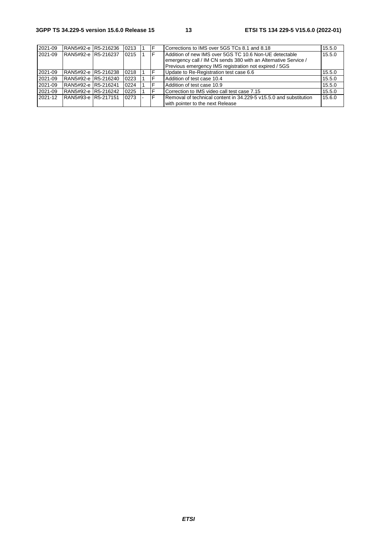| 2021-09 | RAN5#92-e R5-216236 | 0213 |  | Corrections to IMS over 5GS TCs 8.1 and 8.18                      | 15.5.0 |
|---------|---------------------|------|--|-------------------------------------------------------------------|--------|
| 2021-09 | RAN5#92-e R5-216237 | 0215 |  | Addition of new IMS over 5GS TC 10.6 Non-UE detectable            | 15.5.0 |
|         |                     |      |  | emergency call / IM CN sends 380 with an Alternative Service /    |        |
|         |                     |      |  | Previous emergency IMS registration not expired / 5GS             |        |
| 2021-09 | RAN5#92-e R5-216238 | 0218 |  | Update to Re-Registration test case 6.6                           | 15.5.0 |
| 2021-09 | RAN5#92-e R5-216240 | 0223 |  | Addition of test case 10.4                                        | 15.5.0 |
| 2021-09 | RAN5#92-e R5-216241 | 0224 |  | Addition of test case 10.9                                        | 15.5.0 |
| 2021-09 | RAN5#92-e R5-216242 | 0225 |  | Correction to IMS video call test case 7.15                       | 15.5.0 |
| 2021-12 | RAN5#93-e R5-217151 | 0273 |  | Removal of technical content in 34.229-5 v15.5.0 and substitution | 15.6.0 |
|         |                     |      |  | with pointer to the next Release                                  |        |